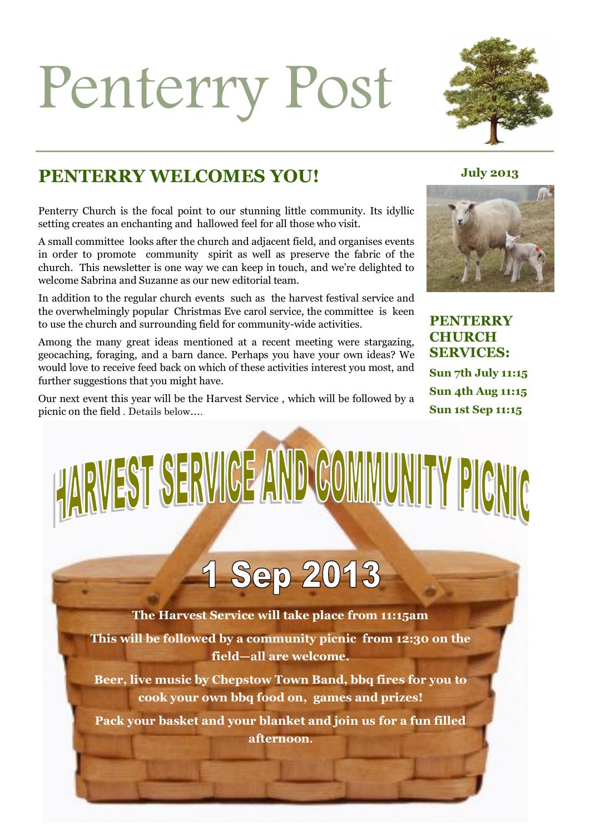## Penterry Post



#### **PENTERRY WELCOMES YOU!** July 2013

Penterry Church is the focal point to our stunning little community. Its idyllic setting creates an enchanting and hallowed feel for all those who visit.

A small committee looks after the church and adjacent field, and organises events in order to promote community spirit as well as preserve the fabric of the church. This newsletter is one way we can keep in touch, and we're delighted to welcome Sabrina and Suzanne as our new editorial team.

In addition to the regular church events such as the harvest festival service and the overwhelmingly popular Christmas Eve carol service, the committee is keen to use the church and surrounding field for community-wide activities.

Among the many great ideas mentioned at a recent meeting were stargazing, geocaching, foraging, and a barn dance. Perhaps you have your own ideas? We would love to receive feed back on which of these activities interest you most, and further suggestions that you might have.

Our next event this year will be the Harvest Service , which will be followed by a picnic on the field . Details below….



**PENTERRY CHURCH SERVICES: Sun 7th July 11:15 Sun 4th Aug 11:15 Sun 1st Sep 11:15**

# HARWEST SERVICE AND COMMUNITY PIGNIC

### 1 Sep 2013

**The Harvest Service will take place from 11:15am**

**This will be followed by a community picnic from 12:30 on the field—all are welcome.**

**Beer, live music by Chepstow Town Band, bbq fires for you to cook your own bbq food on, games and prizes!** 

**Pack your basket and your blanket and join us for a fun filled afternoon.**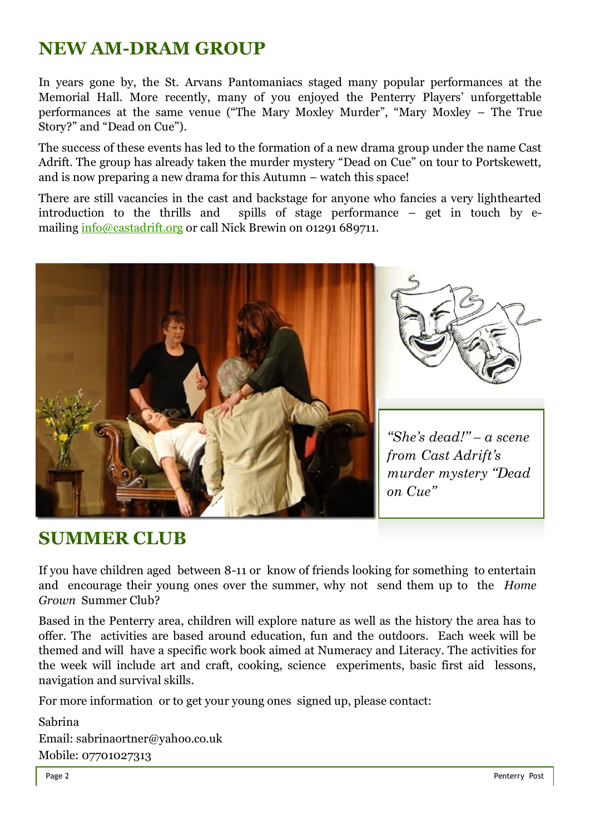#### **NEW AM-DRAM GROUP**

In years gone by, the St. Arvans Pantomaniacs staged many popular performances at the Memorial Hall. More recently, many of you enjoyed the Penterry Players' unforgettable performances at the same venue ("The Mary Moxley Murder", "Mary Moxley – The True Story?" and "Dead on Cue").

The success of these events has led to the formation of a new drama group under the name Cast Adrift. The group has already taken the murder mystery "Dead on Cue" on tour to Portskewett, and is now preparing a new drama for this Autumn – watch this space!

There are still vacancies in the cast and backstage for anyone who fancies a very lighthearted introduction to the thrills and spills of stage performance – get in touch by emailing [info@castadrift.org](mailto:info@castadrift.org) or call Nick Brewin on 01291 689711.



#### **SUMMER CLUB**

If you have children aged between 8-11 or know of friends looking for something to entertain and encourage their young ones over the summer, why not send them up to the *Home Grown* Summer Club?

Based in the Penterry area, children will explore nature as well as the history the area has to offer. The activities are based around education, fun and the outdoors. Each week will be themed and will have a specific work book aimed at Numeracy and Literacy. The activities for the week will include art and craft, cooking, science experiments, basic first aid lessons, navigation and survival skills.

For more information or to get your young ones signed up, please contact:

Sabrina Email: sabrinaortner@yahoo.co.uk Mobile: 07701027313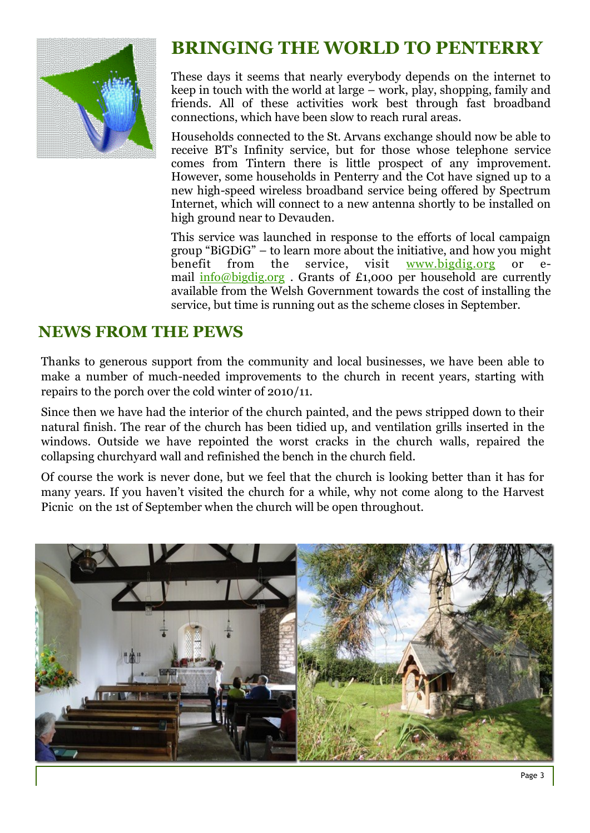

#### **BRINGING THE WORLD TO PENTERRY**

These days it seems that nearly everybody depends on the internet to keep in touch with the world at large – work, play, shopping, family and friends. All of these activities work best through fast broadband connections, which have been slow to reach rural areas.

Households connected to the St. Arvans exchange should now be able to receive BT's Infinity service, but for those whose telephone service comes from Tintern there is little prospect of any improvement. However, some households in Penterry and the Cot have signed up to a new high-speed wireless broadband service being offered by Spectrum Internet, which will connect to a new antenna shortly to be installed on high ground near to Devauden.

This service was launched in response to the efforts of local campaign group "BiGDiG" – to learn more about the initiative, and how you might<br>benefit from the service, visit www.bigdig.org or ebenefit from the service, visit [www.bigdig.org](http://www.bigdig.org/) or email [info@bigdig.org](mailto:info@bigdig.org) . Grants of £1,000 per household are currently available from the Welsh Government towards the cost of installing the service, but time is running out as the scheme closes in September.

#### **NEWS FROM THE PEWS**

Thanks to generous support from the community and local businesses, we have been able to make a number of much-needed improvements to the church in recent years, starting with repairs to the porch over the cold winter of 2010/11.

Since then we have had the interior of the church painted, and the pews stripped down to their natural finish. The rear of the church has been tidied up, and ventilation grills inserted in the windows. Outside we have repointed the worst cracks in the church walls, repaired the collapsing churchyard wall and refinished the bench in the church field.

Of course the work is never done, but we feel that the church is looking better than it has for many years. If you haven't visited the church for a while, why not come along to the Harvest Picnic on the 1st of September when the church will be open throughout.